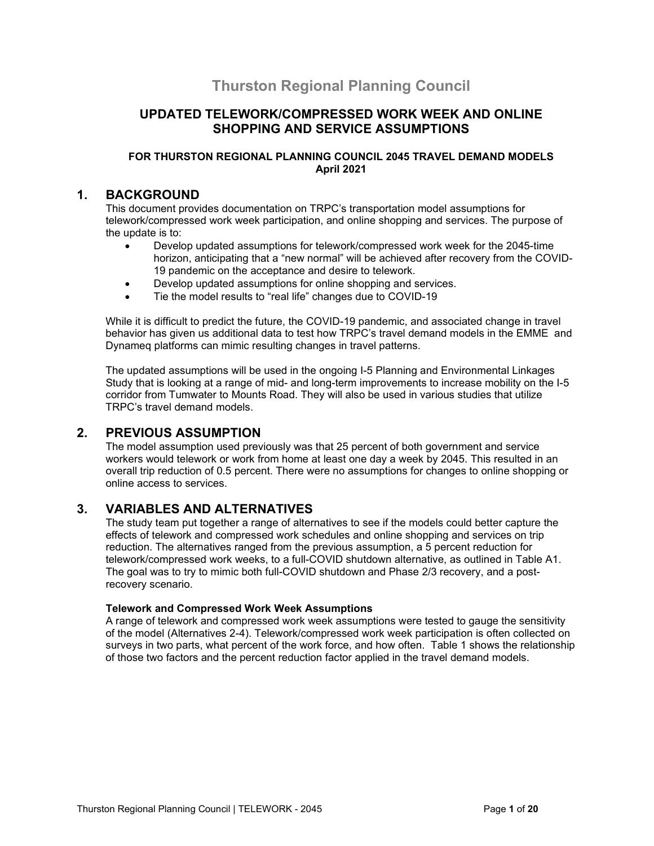# **Thurston Regional Planning Council**

## **UPDATED TELEWORK/COMPRESSED WORK WEEK AND ONLINE SHOPPING AND SERVICE ASSUMPTIONS**

#### **FOR THURSTON REGIONAL PLANNING COUNCIL 2045 TRAVEL DEMAND MODELS April 2021**

#### **1. BACKGROUND**

This document provides documentation on TRPC's transportation model assumptions for telework/compressed work week participation, and online shopping and services. The purpose of the update is to:

- Develop updated assumptions for telework/compressed work week for the 2045-time horizon, anticipating that a "new normal" will be achieved after recovery from the COVID-19 pandemic on the acceptance and desire to telework.
- Develop updated assumptions for online shopping and services.
- Tie the model results to "real life" changes due to COVID-19

While it is difficult to predict the future, the COVID-19 pandemic, and associated change in travel behavior has given us additional data to test how TRPC's travel demand models in the EMME and Dynameq platforms can mimic resulting changes in travel patterns.

The updated assumptions will be used in the ongoing I-5 Planning and Environmental Linkages Study that is looking at a range of mid- and long-term improvements to increase mobility on the I-5 corridor from Tumwater to Mounts Road. They will also be used in various studies that utilize TRPC's travel demand models.

## **2. PREVIOUS ASSUMPTION**

The model assumption used previously was that 25 percent of both government and service workers would telework or work from home at least one day a week by 2045. This resulted in an overall trip reduction of 0.5 percent. There were no assumptions for changes to online shopping or online access to services.

## **3. VARIABLES AND ALTERNATIVES**

The study team put together a range of alternatives to see if the models could better capture the effects of telework and compressed work schedules and online shopping and services on trip reduction. The alternatives ranged from the previous assumption, a 5 percent reduction for telework/compressed work weeks, to a full-COVID shutdown alternative, as outlined in Table A1. The goal was to try to mimic both full-COVID shutdown and Phase 2/3 recovery, and a postrecovery scenario.

#### **Telework and Compressed Work Week Assumptions**

A range of telework and compressed work week assumptions were tested to gauge the sensitivity of the model (Alternatives 2-4). Telework/compressed work week participation is often collected on surveys in two parts, what percent of the work force, and how often. Table 1 shows the relationship of those two factors and the percent reduction factor applied in the travel demand models.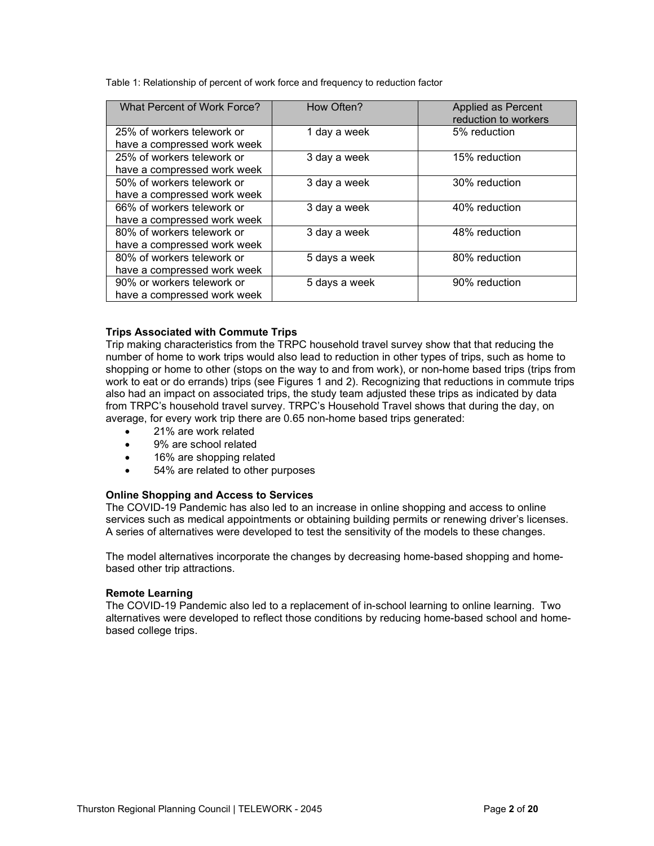Table 1: Relationship of percent of work force and frequency to reduction factor

| <b>What Percent of Work Force?</b> | How Often?    | Applied as Percent   |
|------------------------------------|---------------|----------------------|
|                                    |               | reduction to workers |
| 25% of workers telework or         | 1 day a week  | 5% reduction         |
| have a compressed work week        |               |                      |
| 25% of workers telework or         | 3 day a week  | 15% reduction        |
| have a compressed work week        |               |                      |
| 50% of workers telework or         | 3 day a week  | 30% reduction        |
| have a compressed work week        |               |                      |
| 66% of workers telework or         | 3 day a week  | 40% reduction        |
| have a compressed work week        |               |                      |
| 80% of workers telework or         | 3 day a week  | 48% reduction        |
| have a compressed work week        |               |                      |
| 80% of workers telework or         | 5 days a week | 80% reduction        |
| have a compressed work week        |               |                      |
| 90% or workers telework or         | 5 days a week | 90% reduction        |
| have a compressed work week        |               |                      |

#### **Trips Associated with Commute Trips**

Trip making characteristics from the TRPC household travel survey show that that reducing the number of home to work trips would also lead to reduction in other types of trips, such as home to shopping or home to other (stops on the way to and from work), or non-home based trips (trips from work to eat or do errands) trips (see Figures 1 and 2). Recognizing that reductions in commute trips also had an impact on associated trips, the study team adjusted these trips as indicated by data from TRPC's household travel survey. TRPC's Household Travel shows that during the day, on average, for every work trip there are 0.65 non-home based trips generated:

- 21% are work related
- 9% are school related
- 16% are shopping related
- 54% are related to other purposes

#### **Online Shopping and Access to Services**

The COVID-19 Pandemic has also led to an increase in online shopping and access to online services such as medical appointments or obtaining building permits or renewing driver's licenses. A series of alternatives were developed to test the sensitivity of the models to these changes.

The model alternatives incorporate the changes by decreasing home-based shopping and homebased other trip attractions.

#### **Remote Learning**

The COVID-19 Pandemic also led to a replacement of in-school learning to online learning. Two alternatives were developed to reflect those conditions by reducing home-based school and homebased college trips.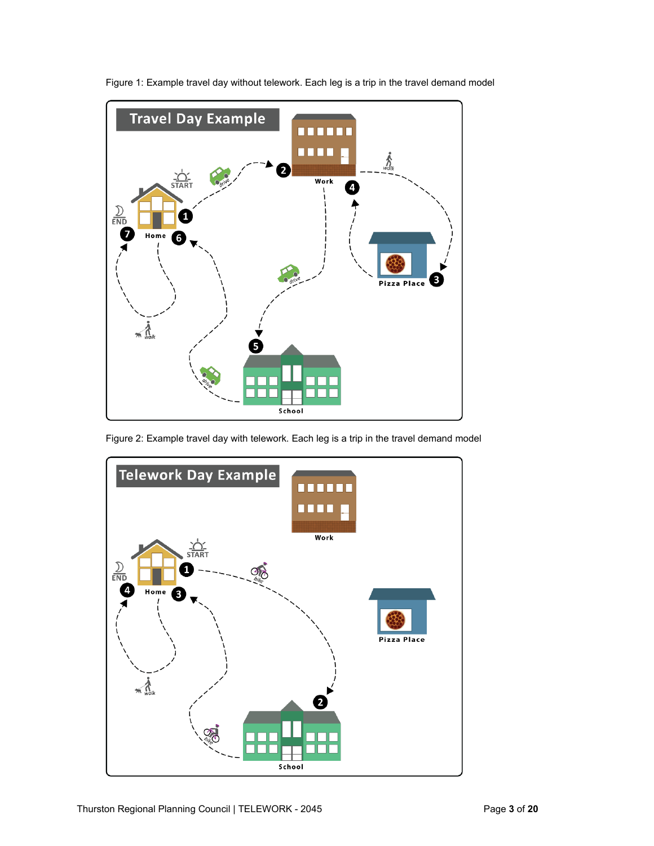

Figure 1: Example travel day without telework. Each leg is a trip in the travel demand model

Figure 2: Example travel day with telework. Each leg is a trip in the travel demand model

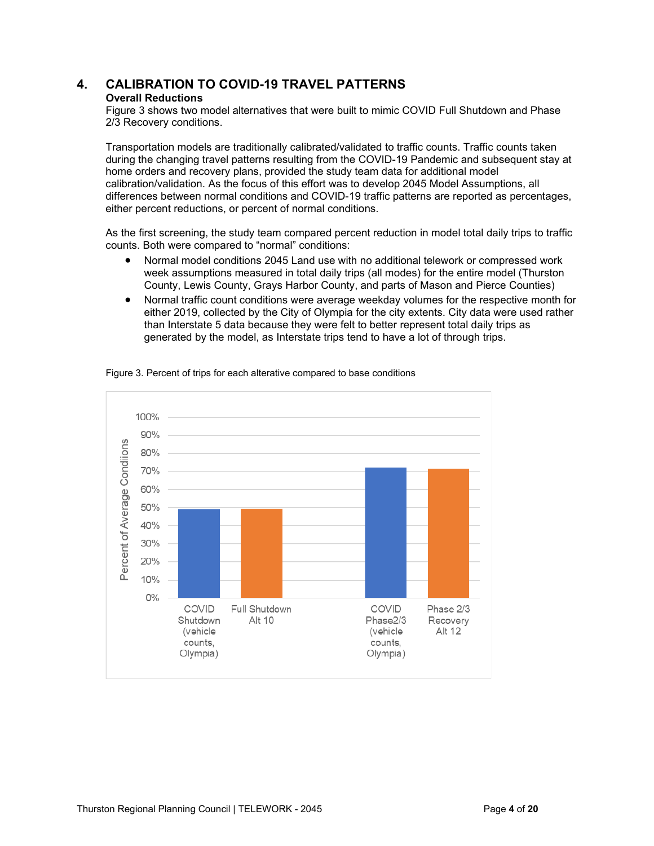# **4. CALIBRATION TO COVID-19 TRAVEL PATTERNS**

#### **Overall Reductions**

Figure 3 shows two model alternatives that were built to mimic COVID Full Shutdown and Phase 2/3 Recovery conditions.

Transportation models are traditionally calibrated/validated to traffic counts. Traffic counts taken during the changing travel patterns resulting from the COVID-19 Pandemic and subsequent stay at home orders and recovery plans, provided the study team data for additional model calibration/validation. As the focus of this effort was to develop 2045 Model Assumptions, all differences between normal conditions and COVID-19 traffic patterns are reported as percentages, either percent reductions, or percent of normal conditions.

As the first screening, the study team compared percent reduction in model total daily trips to traffic counts. Both were compared to "normal" conditions:

- Normal model conditions 2045 Land use with no additional telework or compressed work week assumptions measured in total daily trips (all modes) for the entire model (Thurston County, Lewis County, Grays Harbor County, and parts of Mason and Pierce Counties)
- Normal traffic count conditions were average weekday volumes for the respective month for either 2019, collected by the City of Olympia for the city extents. City data were used rather than Interstate 5 data because they were felt to better represent total daily trips as generated by the model, as Interstate trips tend to have a lot of through trips.



Figure 3. Percent of trips for each alterative compared to base conditions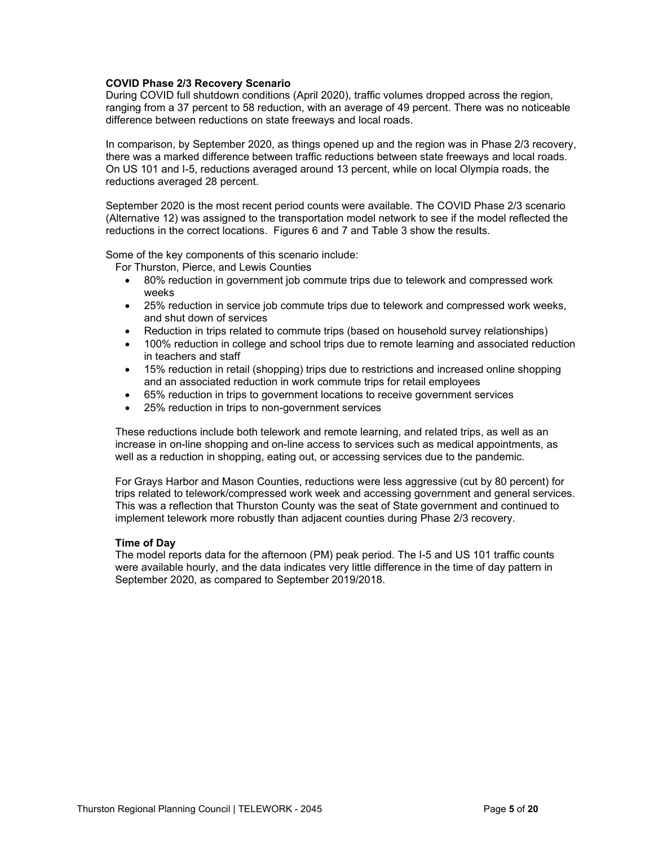#### **COVID Phase 2/3 Recovery Scenario**

During COVID full shutdown conditions (April 2020), traffic volumes dropped across the region, ranging from a 37 percent to 58 reduction, with an average of 49 percent. There was no noticeable difference between reductions on state freeways and local roads.

In comparison, by September 2020, as things opened up and the region was in Phase 2/3 recovery, there was a marked difference between traffic reductions between state freeways and local roads. On US 101 and I-5, reductions averaged around 13 percent, while on local Olympia roads, the reductions averaged 28 percent.

September 2020 is the most recent period counts were available. The COVID Phase 2/3 scenario (Alternative 12) was assigned to the transportation model network to see if the model reflected the reductions in the correct locations. Figures 6 and 7 and Table 3 show the results.

Some of the key components of this scenario include:

For Thurston, Pierce, and Lewis Counties

- 80% reduction in government job commute trips due to telework and compressed work weeks
- 25% reduction in service job commute trips due to telework and compressed work weeks, and shut down of services
- Reduction in trips related to commute trips (based on household survey relationships)
- 100% reduction in college and school trips due to remote learning and associated reduction in teachers and staff
- 15% reduction in retail (shopping) trips due to restrictions and increased online shopping and an associated reduction in work commute trips for retail employees
- 65% reduction in trips to government locations to receive government services
- 25% reduction in trips to non-government services

These reductions include both telework and remote learning, and related trips, as well as an increase in on-line shopping and on-line access to services such as medical appointments, as well as a reduction in shopping, eating out, or accessing services due to the pandemic.

For Grays Harbor and Mason Counties, reductions were less aggressive (cut by 80 percent) for trips related to telework/compressed work week and accessing government and general services. This was a reflection that Thurston County was the seat of State government and continued to implement telework more robustly than adjacent counties during Phase 2/3 recovery.

#### **Time of Day**

The model reports data for the afternoon (PM) peak period. The I-5 and US 101 traffic counts were available hourly, and the data indicates very little difference in the time of day pattern in September 2020, as compared to September 2019/2018.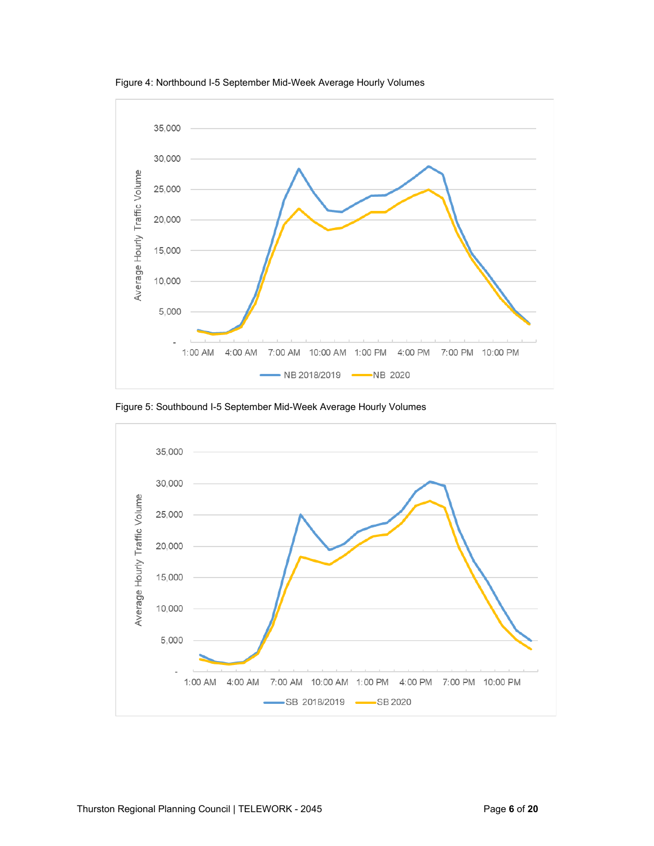



Figure 5: Southbound I-5 September Mid-Week Average Hourly Volumes

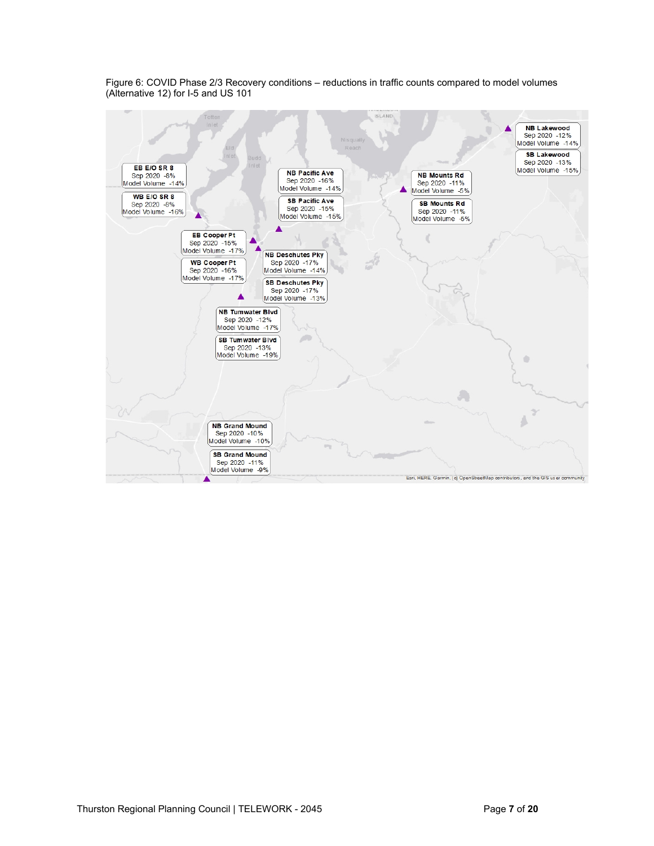

Figure 6: COVID Phase 2/3 Recovery conditions – reductions in traffic counts compared to model volumes (Alternative 12) for I-5 and US 101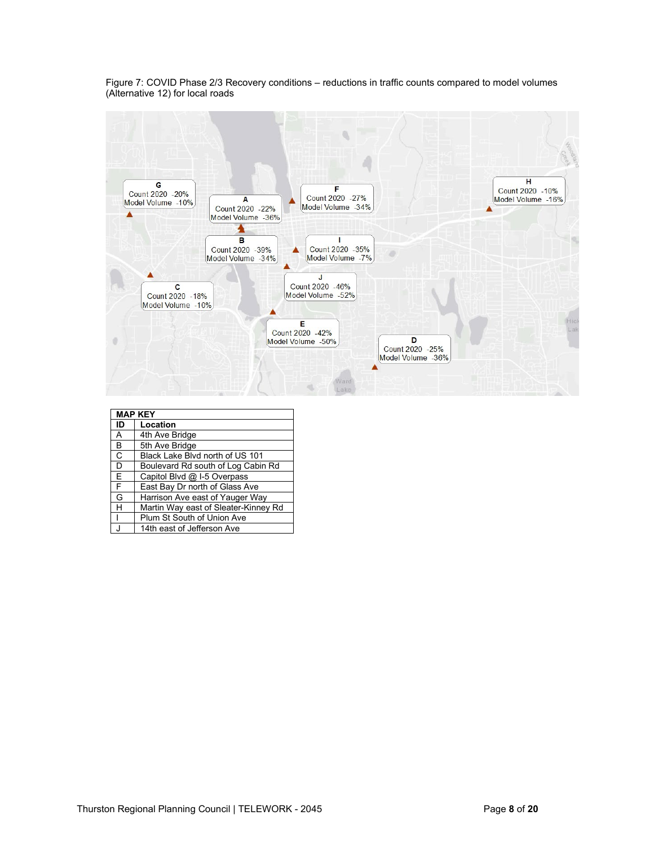Figure 7: COVID Phase 2/3 Recovery conditions – reductions in traffic counts compared to model volumes (Alternative 12) for local roads



|    | <b>MAP KEY</b>                       |
|----|--------------------------------------|
| ID | Location                             |
| A  | 4th Ave Bridge                       |
| В  | 5th Ave Bridge                       |
| C  | Black Lake Blvd north of US 101      |
| D  | Boulevard Rd south of Log Cabin Rd   |
| E  | Capitol Blvd @ I-5 Overpass          |
| F  | East Bay Dr north of Glass Ave       |
| G  | Harrison Ave east of Yauger Way      |
| Н  | Martin Way east of Sleater-Kinney Rd |
|    | Plum St South of Union Ave           |
|    | 14th east of Jefferson Ave           |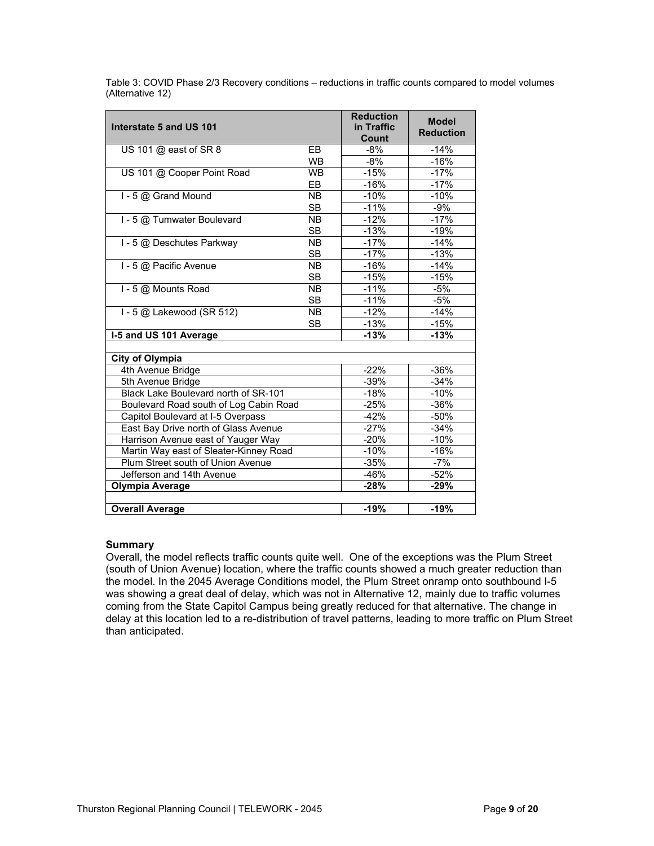Table 3: COVID Phase 2/3 Recovery conditions – reductions in traffic counts compared to model volumes (Alternative 12)

| Interstate 5 and US 101                |           | <b>Reduction</b><br>in Traffic<br>Count | <b>Model</b><br><b>Reduction</b> |
|----------------------------------------|-----------|-----------------------------------------|----------------------------------|
| US 101 @ east of SR 8                  | EB        | -8%                                     | $-14%$                           |
|                                        | <b>WB</b> | -8%                                     | $-16%$                           |
| US 101 @ Cooper Point Road             | <b>WB</b> | $-15%$                                  | $-17%$                           |
|                                        | EB        | $-16%$                                  | $-17%$                           |
| I - 5 @ Grand Mound                    | <b>NB</b> | $-10%$                                  | $-10%$                           |
|                                        | <b>SB</b> | $-11%$                                  | $-9%$                            |
| I - 5 @ Tumwater Boulevard             | <b>NB</b> | $-12%$                                  | $-17%$                           |
|                                        | <b>SB</b> | $-13%$                                  | $-19%$                           |
| I - 5 @ Deschutes Parkway              | <b>NB</b> | $-17%$                                  | $-14%$                           |
|                                        | <b>SB</b> | $-17%$                                  | $-13%$                           |
| I - 5 @ Pacific Avenue                 | <b>NB</b> | $-16%$                                  | $-14%$                           |
|                                        | <b>SB</b> | $-15%$                                  | $-15%$                           |
| I - 5 @ Mounts Road                    | <b>NB</b> | $-11%$                                  | $-5%$                            |
|                                        | <b>SB</b> | $-11%$                                  | $-5%$                            |
| I - 5 @ Lakewood (SR 512)              | <b>NB</b> | $-12%$                                  | $-14%$                           |
|                                        | <b>SB</b> | $-13%$                                  | $-15%$                           |
| I-5 and US 101 Average                 |           | $-13%$                                  | $-13%$                           |
|                                        |           |                                         |                                  |
| <b>City of Olympia</b>                 |           |                                         |                                  |
| 4th Avenue Bridge                      |           | $-22%$                                  | $-36%$                           |
| 5th Avenue Bridge                      |           | $-39%$                                  | $-34%$                           |
| Black Lake Boulevard north of SR-101   |           | $-18%$                                  | $-10%$                           |
| Boulevard Road south of Log Cabin Road |           | $-25%$                                  | $-36%$                           |
| Capitol Boulevard at I-5 Overpass      |           | $-42%$                                  | $-50%$                           |
| East Bay Drive north of Glass Avenue   |           | $-27%$                                  | $-34%$                           |
| Harrison Avenue east of Yauger Way     |           | $-20%$                                  | $-10%$                           |
| Martin Way east of Sleater-Kinney Road |           | $-10%$                                  | $-16%$                           |
| Plum Street south of Union Avenue      |           | $-35%$                                  | $-7%$                            |
| Jefferson and 14th Avenue              |           | $-46%$                                  | $-52%$                           |
| Olympia Average                        |           | $-28%$                                  | $-29%$                           |
|                                        |           |                                         |                                  |
| <b>Overall Average</b>                 |           | $-19%$                                  | $-19%$                           |

#### **Summary**

Overall, the model reflects traffic counts quite well. One of the exceptions was the Plum Street (south of Union Avenue) location, where the traffic counts showed a much greater reduction than the model. In the 2045 Average Conditions model, the Plum Street onramp onto southbound I-5 was showing a great deal of delay, which was not in Alternative 12, mainly due to traffic volumes coming from the State Capitol Campus being greatly reduced for that alternative. The change in delay at this location led to a re-distribution of travel patterns, leading to more traffic on Plum Street than anticipated.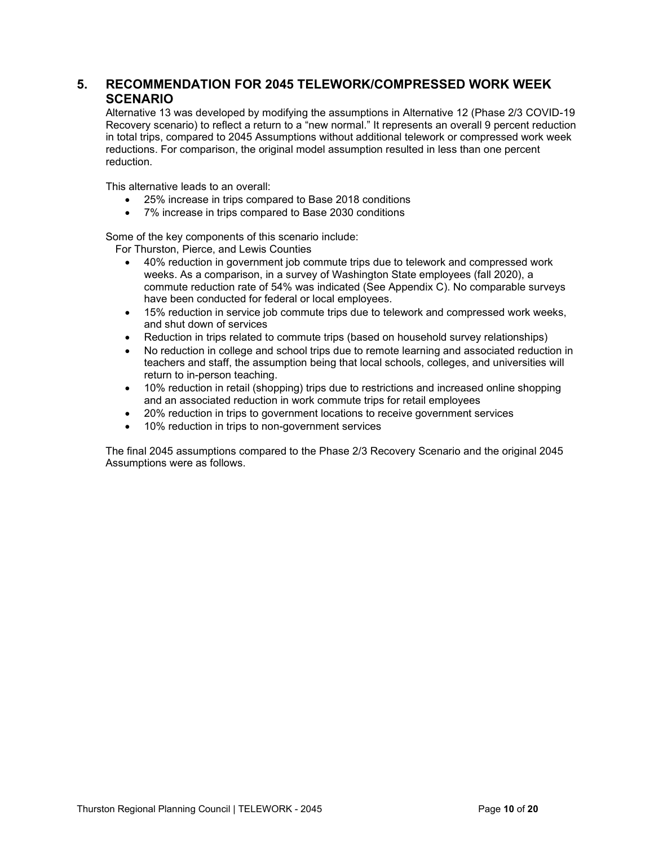## **5. RECOMMENDATION FOR 2045 TELEWORK/COMPRESSED WORK WEEK SCENARIO**

Alternative 13 was developed by modifying the assumptions in Alternative 12 (Phase 2/3 COVID-19 Recovery scenario) to reflect a return to a "new normal." It represents an overall 9 percent reduction in total trips, compared to 2045 Assumptions without additional telework or compressed work week reductions. For comparison, the original model assumption resulted in less than one percent reduction.

This alternative leads to an overall:

- 25% increase in trips compared to Base 2018 conditions
- 7% increase in trips compared to Base 2030 conditions

Some of the key components of this scenario include:

For Thurston, Pierce, and Lewis Counties

- 40% reduction in government job commute trips due to telework and compressed work weeks. As a comparison, in a survey of Washington State employees (fall 2020), a commute reduction rate of 54% was indicated (See Appendix C). No comparable surveys have been conducted for federal or local employees.
- 15% reduction in service job commute trips due to telework and compressed work weeks, and shut down of services
- Reduction in trips related to commute trips (based on household survey relationships)
- No reduction in college and school trips due to remote learning and associated reduction in teachers and staff, the assumption being that local schools, colleges, and universities will return to in-person teaching.
- 10% reduction in retail (shopping) trips due to restrictions and increased online shopping and an associated reduction in work commute trips for retail employees
- 20% reduction in trips to government locations to receive government services
- 10% reduction in trips to non-government services

The final 2045 assumptions compared to the Phase 2/3 Recovery Scenario and the original 2045 Assumptions were as follows.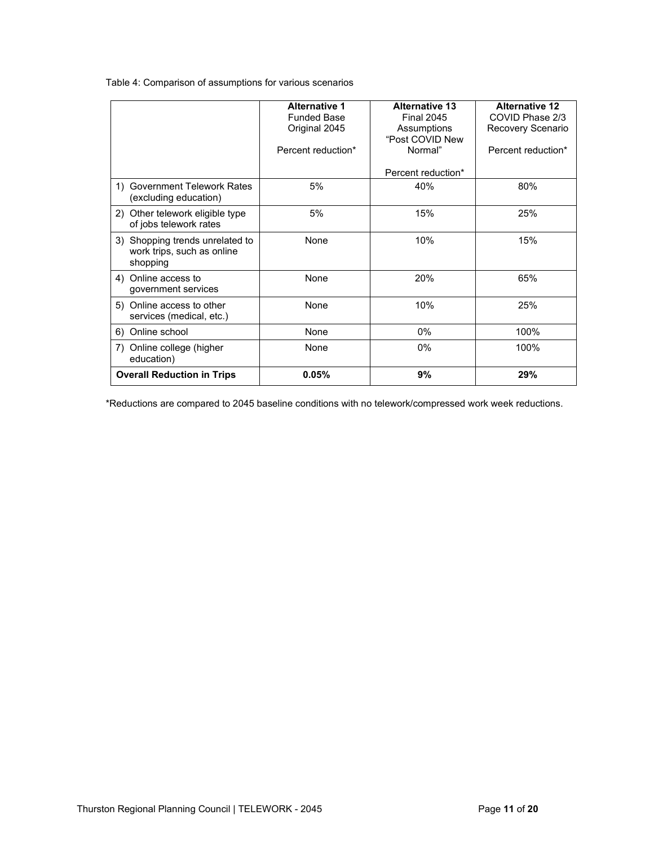Table 4: Comparison of assumptions for various scenarios

|                                                                           | <b>Alternative 1</b> | <b>Alternative 13</b> | <b>Alternative 12</b> |
|---------------------------------------------------------------------------|----------------------|-----------------------|-----------------------|
|                                                                           | <b>Funded Base</b>   | <b>Final 2045</b>     | COVID Phase 2/3       |
|                                                                           | Original 2045        | Assumptions           | Recovery Scenario     |
|                                                                           |                      | "Post COVID New       |                       |
|                                                                           | Percent reduction*   | Normal"               | Percent reduction*    |
|                                                                           |                      | Percent reduction*    |                       |
| <b>Government Telework Rates</b><br>1)<br>(excluding education)           | 5%                   | 40%                   | 80%                   |
| 2) Other telework eligible type<br>of jobs telework rates                 | 5%                   | 15%                   | 25%                   |
| 3) Shopping trends unrelated to<br>work trips, such as online<br>shopping | None                 | 10%                   | 15%                   |
| 4) Online access to<br>government services                                | None                 | 20%                   | 65%                   |
| 5) Online access to other<br>services (medical, etc.)                     | None                 | 10%                   | 25%                   |
| Online school<br>6)                                                       | None                 | $0\%$                 | 100%                  |
| Online college (higher<br>7)<br>education)                                | None                 | 0%                    | 100%                  |
| <b>Overall Reduction in Trips</b>                                         | 0.05%                | 9%                    | 29%                   |

\*Reductions are compared to 2045 baseline conditions with no telework/compressed work week reductions.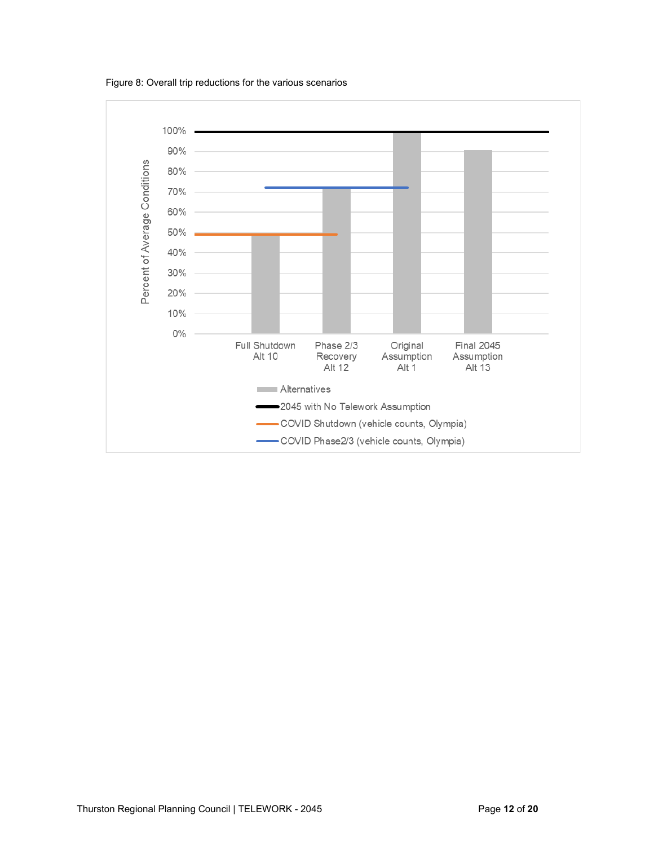Figure 8: Overall trip reductions for the various scenarios

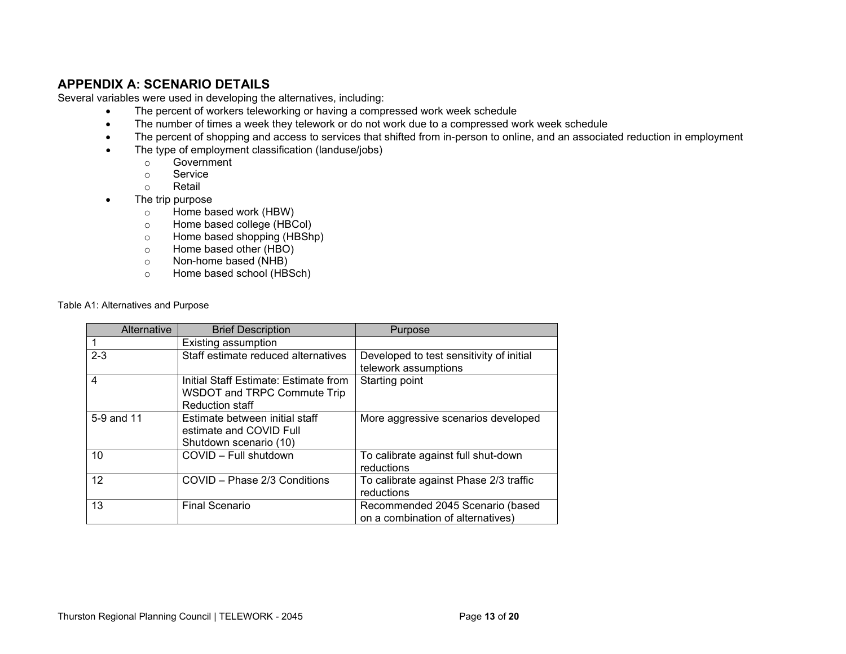# **APPENDIX A: SCENARIO DETAILS**

Several variables were used in developing the alternatives, including:

- The percent of workers teleworking or having a compressed work week schedule
- The number of times a week they telework or do not work due to a compressed work week schedule
- The percent of shopping and access to services that shifted from in-person to online, and an associated reduction in employment
- The type of employment classification (landuse/jobs)
	- o Government
	- Service
	- o Retail
- The trip purpose
	- $\circ$  Home based work (HBW)
	- o Home based college (HBCol)
	- o Home based shopping (HBShp)<br>
	o Home based other (HBO)
	- Home based other (HBO)
	- o Non-home based (NHB)<br>
	o Home based school (HB)
	- Home based school (HBSch)

Table A1: Alternatives and Purpose

| Alternative | <b>Brief Description</b>              | Purpose                                  |
|-------------|---------------------------------------|------------------------------------------|
|             | Existing assumption                   |                                          |
| $2 - 3$     | Staff estimate reduced alternatives   | Developed to test sensitivity of initial |
|             |                                       | telework assumptions                     |
| 4           | Initial Staff Estimate: Estimate from | Starting point                           |
|             | WSDOT and TRPC Commute Trip           |                                          |
|             | <b>Reduction staff</b>                |                                          |
| 5-9 and 11  | Estimate between initial staff        | More aggressive scenarios developed      |
|             | estimate and COVID Full               |                                          |
|             | Shutdown scenario (10)                |                                          |
| 10          | COVID - Full shutdown                 | To calibrate against full shut-down      |
|             |                                       | reductions                               |
| 12          | COVID - Phase 2/3 Conditions          | To calibrate against Phase 2/3 traffic   |
|             |                                       | reductions                               |
| 13          | <b>Final Scenario</b>                 | Recommended 2045 Scenario (based         |
|             |                                       | on a combination of alternatives)        |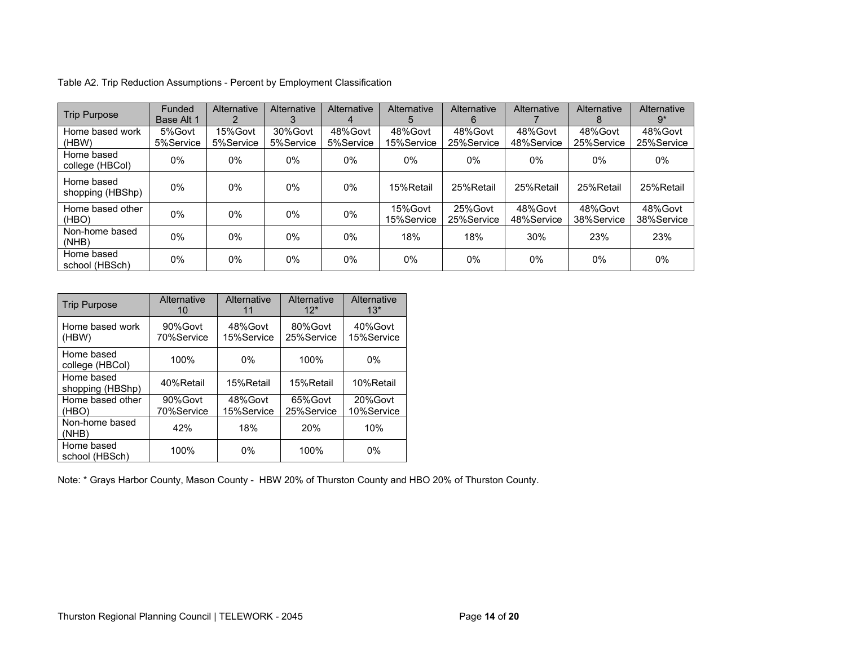| <b>Trip Purpose</b>            | Funded<br>Base Alt 1 | Alternative          | <b>Alternative</b><br>3 | Alternative<br>$\overline{4}$ | Alternative<br>:C     | <b>Alternative</b><br>6 | Alternative           | Alternative<br>8      | <b>Alternative</b><br>$9*$ |
|--------------------------------|----------------------|----------------------|-------------------------|-------------------------------|-----------------------|-------------------------|-----------------------|-----------------------|----------------------------|
| Home based work<br>(HBW)       | 5%Govt<br>5%Service  | 15%Govt<br>5%Service | 30%Govt<br>5%Service    | 48%Govt<br>5%Service          | 48%Govt<br>15%Service | 48%Govt<br>25%Service   | 48%Govt<br>48%Service | 48%Govt<br>25%Service | 48%Govt<br>25%Service      |
| Home based<br>college (HBCol)  | 0%                   | 0%                   | 0%                      | $0\%$                         | 0%                    | 0%                      | 0%                    | $0\%$                 | 0%                         |
| Home based<br>shopping (HBShp) | 0%                   | 0%                   | 0%                      | $0\%$                         | 15%Retail             | 25%Retail               | 25%Retail             | 25%Retail             | 25%Retail                  |
| Home based other<br>(HBO)      | 0%                   | 0%                   | 0%                      | 0%                            | 15%Govt<br>15%Service | 25%Govt<br>25%Service   | 48%Govt<br>48%Service | 48%Govt<br>38%Service | 48%Govt<br>38%Service      |
| Non-home based<br>(NHB)        | 0%                   | 0%                   | $0\%$                   | $0\%$                         | 18%                   | 18%                     | 30%                   | 23%                   | 23%                        |
| Home based<br>school (HBSch)   | 0%                   | 0%                   | 0%                      | $0\%$                         | 0%                    | $0\%$                   | $0\%$                 | 0%                    | 0%                         |

Table A2. Trip Reduction Assumptions - Percent by Employment Classification

| <b>Trip Purpose</b>            | Alternative<br>10     | Alternative<br>11     | Alternative<br>$12*$  | Alternative<br>$13*$  |
|--------------------------------|-----------------------|-----------------------|-----------------------|-----------------------|
| Home based work<br>(HBW)       | 90%Govt<br>70%Service | 48%Govt<br>15%Service | 80%Govt<br>25%Service | 40%Govt<br>15%Service |
| Home based<br>college (HBCol)  | 100%                  | $0\%$                 | 100%                  | $0\%$                 |
| Home based<br>shopping (HBShp) | 40%Retail             | 15%Retail             | 15%Retail             | 10%Retail             |
| Home based other<br>(HBO)      | 90%Govt<br>70%Service | 48%Govt<br>15%Service | 65%Govt<br>25%Service | 20%Govt<br>10%Service |
| Non-home based<br>(NHB)        | 42%                   | 18%                   | 20%                   | 10%                   |
| Home based<br>school (HBSch)   | 100%                  | $0\%$                 | 100%                  | $0\%$                 |

Note: \* Grays Harbor County, Mason County - HBW 20% of Thurston County and HBO 20% of Thurston County.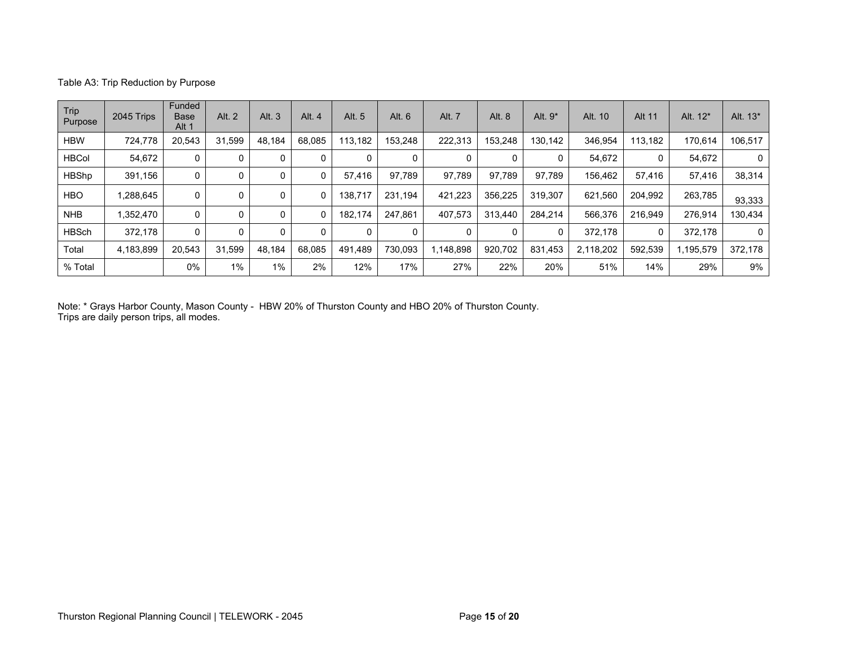#### Table A3: Trip Reduction by Purpose

| Trip<br>Purpose | 2045 Trips | Funded<br><b>Base</b><br>Alt 1 | Alt. 2 | Alt. 3   | Alt. 4 | Alt. 5   | Alt. 6  | Alt. 7    | Alt. 8  | Alt. $9*$ | Alt. 10   | <b>Alt 11</b> | Alt. 12*  | Alt. 13* |
|-----------------|------------|--------------------------------|--------|----------|--------|----------|---------|-----------|---------|-----------|-----------|---------------|-----------|----------|
| <b>HBW</b>      | 724,778    | 20,543                         | 31.599 | 48.184   | 68.085 | 113.182  | 153,248 | 222,313   | 153.248 | 130.142   | 346,954   | 113.182       | 170,614   | 106.517  |
| <b>HBCol</b>    | 54.672     | 0                              |        | 0        | 0      | 0        |         | 0         |         |           | 54,672    |               | 54,672    |          |
| <b>HBShp</b>    | 391.156    | 0                              |        | 0        | 0      | 57.416   | 97,789  | 97.789    | 97.789  | 97.789    | 156,462   | 57.416        | 57,416    | 38,314   |
| <b>HBO</b>      | 1,288,645  | 0                              |        | 0        |        | 138.717  | 231.194 | 421,223   | 356,225 | 319.307   | 621,560   | 204,992       | 263,785   | 93,333   |
| <b>NHB</b>      | 1,352,470  | 0                              |        | 0        |        | 182.174  | 247.861 | 407,573   | 313,440 | 284.214   | 566,376   | 216.949       | 276,914   | 130,434  |
| <b>HBSch</b>    | 372,178    | 0                              |        | $\Omega$ | 0      | $\Omega$ | 0       | $\Omega$  | 0       |           | 372,178   | 0             | 372,178   | $\Omega$ |
| Total           | 4,183,899  | 20.543                         | 31.599 | 48.184   | 68.085 | 491.489  | 730.093 | 1,148,898 | 920.702 | 831,453   | 2,118,202 | 592.539       | 1,195,579 | 372.178  |
| % Total         |            | 0%                             | 1%     | 1%       | 2%     | 12%      | 17%     | 27%       | 22%     | 20%       | 51%       | 14%           | 29%       | 9%       |

Note: \* Grays Harbor County, Mason County - HBW 20% of Thurston County and HBO 20% of Thurston County. Trips are daily person trips, all modes.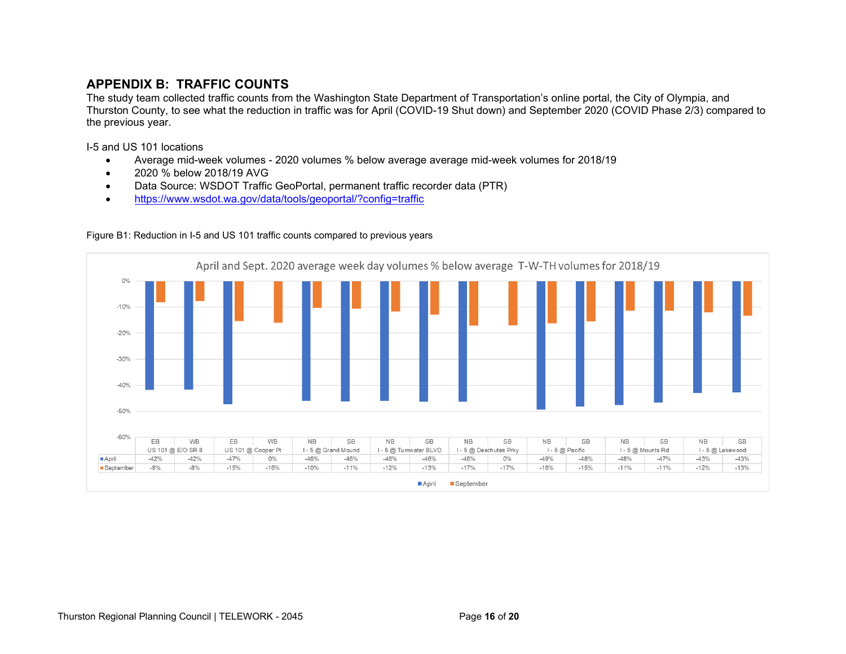# **APPENDIX B: TRAFFIC COUNTS**

The study team collected traffic counts from the Washington State Department of Transportation's online portal, the City of Olympia, and Thurston County, to see what the reduction in traffic was for April (COVID-19 Shut down) and September 2020 (COVID Phase 2/3) compared to the previous year.

I-5 and US 101 locations

- Average mid-week volumes 2020 volumes % below average average mid-week volumes for 2018/19
- 2020 % below 2018/19 AVG
- Data Source: WSDOT Traffic GeoPortal, permanent traffic recorder data (PTR)
- <https://www.wsdot.wa.gov/data/tools/geoportal/?config=traffic>



#### Figure B1: Reduction in I-5 and US 101 traffic counts compared to previous years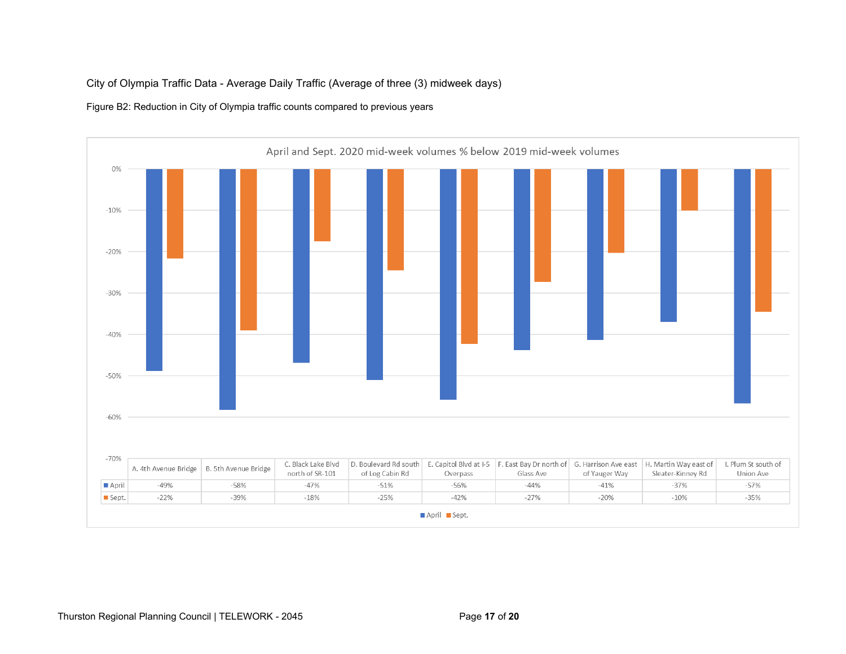## City of Olympia Traffic Data - Average Daily Traffic (Average of three (3) midweek days)

#### Figure B2: Reduction in City of Olympia traffic counts compared to previous years

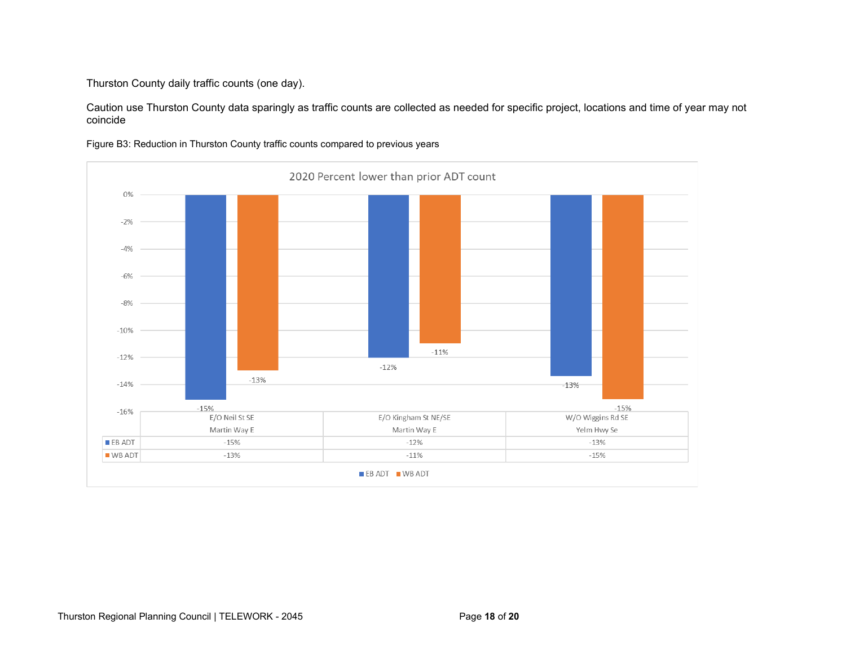Thurston County daily traffic counts (one day).

Caution use Thurston County data sparingly as traffic counts are collected as needed for specific project, locations and time of year may not coincide



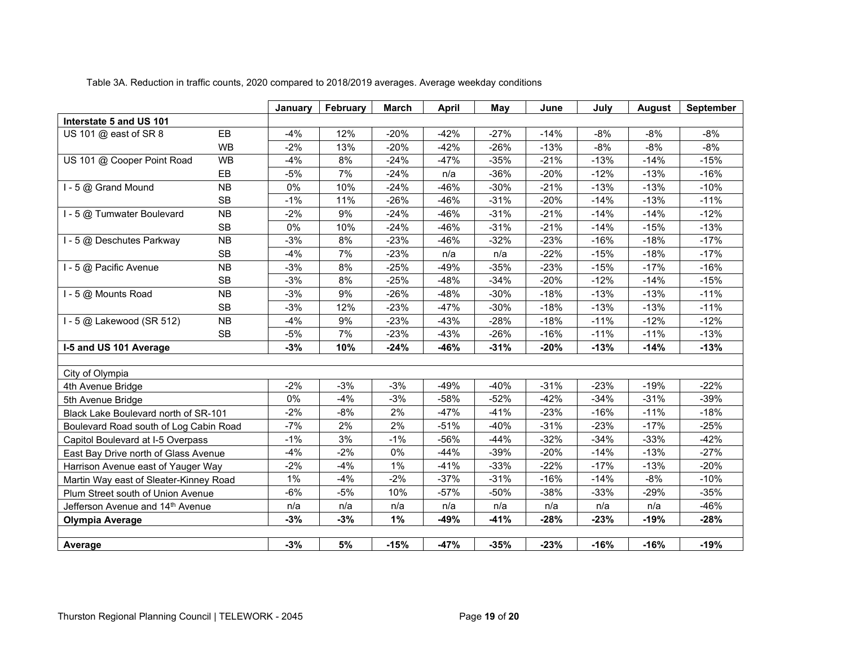|                                        |           | January | February | March  | April  | May    | June   | July   | <b>August</b> | <b>September</b> |
|----------------------------------------|-----------|---------|----------|--------|--------|--------|--------|--------|---------------|------------------|
| Interstate 5 and US 101                |           |         |          |        |        |        |        |        |               |                  |
| US 101 @ east of SR 8                  | EB        | $-4%$   | 12%      | $-20%$ | $-42%$ | $-27%$ | $-14%$ | $-8%$  | $-8%$         | $-8%$            |
|                                        | <b>WB</b> | $-2%$   | 13%      | $-20%$ | $-42%$ | $-26%$ | $-13%$ | $-8%$  | $-8%$         | $-8%$            |
| US 101 @ Cooper Point Road             | <b>WB</b> | $-4%$   | 8%       | $-24%$ | $-47%$ | $-35%$ | $-21%$ | $-13%$ | $-14%$        | $-15%$           |
|                                        | EB        | $-5%$   | 7%       | $-24%$ | n/a    | $-36%$ | $-20%$ | $-12%$ | $-13%$        | $-16%$           |
| I - 5 @ Grand Mound                    | <b>NB</b> | 0%      | 10%      | $-24%$ | $-46%$ | $-30%$ | $-21%$ | $-13%$ | $-13%$        | $-10%$           |
|                                        | <b>SB</b> | $-1%$   | 11%      | $-26%$ | $-46%$ | $-31%$ | $-20%$ | $-14%$ | $-13%$        | $-11%$           |
| I - 5 @ Tumwater Boulevard             | <b>NB</b> | $-2%$   | 9%       | $-24%$ | $-46%$ | $-31%$ | $-21%$ | $-14%$ | $-14%$        | $-12%$           |
|                                        | <b>SB</b> | 0%      | 10%      | $-24%$ | $-46%$ | $-31%$ | $-21%$ | $-14%$ | $-15%$        | $-13%$           |
| I - 5 @ Deschutes Parkway              | <b>NB</b> | $-3%$   | 8%       | $-23%$ | $-46%$ | $-32%$ | $-23%$ | $-16%$ | $-18%$        | $-17%$           |
|                                        | <b>SB</b> | $-4%$   | 7%       | $-23%$ | n/a    | n/a    | $-22%$ | $-15%$ | $-18%$        | $-17%$           |
| I - 5 @ Pacific Avenue                 | <b>NB</b> | $-3%$   | 8%       | $-25%$ | $-49%$ | $-35%$ | $-23%$ | $-15%$ | $-17%$        | $-16%$           |
|                                        | <b>SB</b> | $-3%$   | 8%       | $-25%$ | $-48%$ | $-34%$ | $-20%$ | $-12%$ | $-14%$        | $-15%$           |
| I - 5 @ Mounts Road                    | <b>NB</b> | $-3%$   | 9%       | $-26%$ | $-48%$ | $-30%$ | $-18%$ | $-13%$ | $-13%$        | $-11%$           |
|                                        | <b>SB</b> | $-3%$   | 12%      | $-23%$ | $-47%$ | $-30%$ | $-18%$ | $-13%$ | $-13%$        | $-11%$           |
| I - 5 @ Lakewood (SR 512)              | <b>NB</b> | $-4%$   | 9%       | $-23%$ | $-43%$ | $-28%$ | $-18%$ | $-11%$ | $-12%$        | $-12%$           |
|                                        | <b>SB</b> | $-5%$   | 7%       | $-23%$ | $-43%$ | $-26%$ | $-16%$ | $-11%$ | $-11%$        | $-13%$           |
| I-5 and US 101 Average                 |           | $-3%$   | 10%      | $-24%$ | $-46%$ | $-31%$ | $-20%$ | $-13%$ | $-14%$        | $-13%$           |
|                                        |           |         |          |        |        |        |        |        |               |                  |
| City of Olympia                        |           |         |          |        |        |        |        |        |               |                  |
| 4th Avenue Bridge                      |           | $-2%$   | $-3%$    | $-3%$  | $-49%$ | $-40%$ | $-31%$ | $-23%$ | $-19%$        | $-22%$           |
| 5th Avenue Bridge                      |           | 0%      | $-4%$    | $-3%$  | $-58%$ | $-52%$ | $-42%$ | $-34%$ | $-31%$        | $-39%$           |
| Black Lake Boulevard north of SR-101   |           | $-2%$   | $-8%$    | 2%     | $-47%$ | $-41%$ | $-23%$ | $-16%$ | $-11%$        | $-18%$           |
| Boulevard Road south of Log Cabin Road |           | $-7%$   | 2%       | 2%     | $-51%$ | $-40%$ | $-31%$ | $-23%$ | $-17%$        | $-25%$           |
| Capitol Boulevard at I-5 Overpass      |           | $-1%$   | 3%       | $-1%$  | -56%   | $-44%$ | $-32%$ | $-34%$ | $-33%$        | $-42%$           |
| East Bay Drive north of Glass Avenue   |           | $-4%$   | $-2%$    | 0%     | $-44%$ | $-39%$ | $-20%$ | $-14%$ | $-13%$        | $-27%$           |
| Harrison Avenue east of Yauger Way     |           | $-2%$   | $-4%$    | 1%     | $-41%$ | $-33%$ | $-22%$ | $-17%$ | $-13%$        | $-20%$           |
| Martin Way east of Sleater-Kinney Road |           | 1%      | $-4%$    | $-2%$  | $-37%$ | $-31%$ | $-16%$ | $-14%$ | $-8%$         | $-10%$           |
| Plum Street south of Union Avenue      |           | $-6%$   | $-5%$    | 10%    | $-57%$ | $-50%$ | $-38%$ | $-33%$ | $-29%$        | $-35%$           |
| Jefferson Avenue and 14th Avenue       |           | n/a     | n/a      | n/a    | n/a    | n/a    | n/a    | n/a    | n/a           | -46%             |
| <b>Olympia Average</b>                 |           | $-3%$   | $-3%$    | 1%     | $-49%$ | $-41%$ | $-28%$ | $-23%$ | $-19%$        | $-28%$           |
|                                        |           |         |          |        |        |        |        |        |               |                  |
| <b>Average</b>                         |           | $-3%$   | $5%$     | $-15%$ | $-47%$ | $-35%$ | $-23%$ | $-16%$ | $-16%$        | $-19%$           |

Table 3A. Reduction in traffic counts, 2020 compared to 2018/2019 averages. Average weekday conditions